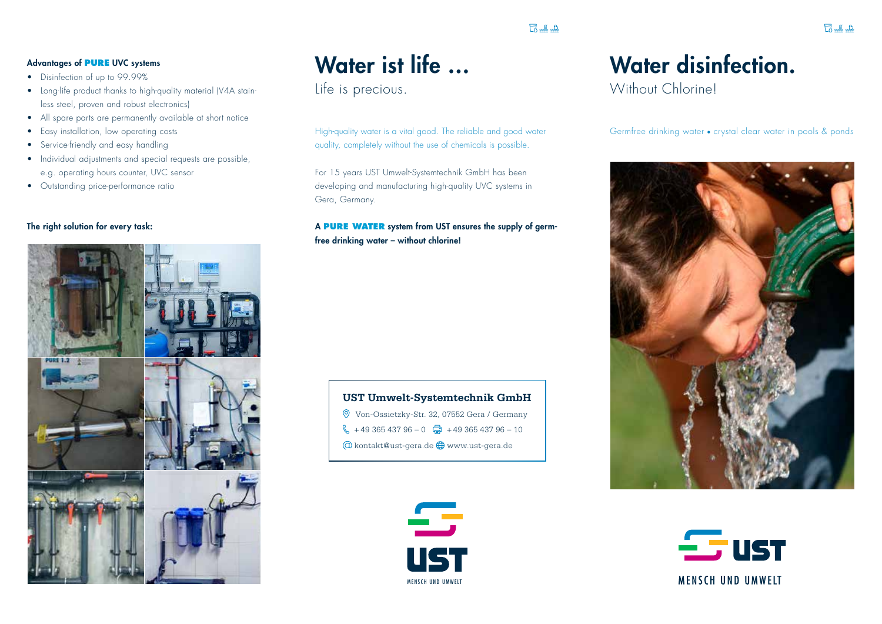## $7.12$

#### Advantages of **PURE** UVC systems

- Disinfection of up to 99.99%
- Long-life product thanks to high-quality material (V4A stainless steel, proven and robust electronics)
- All spare parts are permanently available at short notice
- Easy installation, low operating costs
- Service-friendly and easy handling
- Individual adjustments and special requests are possible, e.g. operating hours counter, UVC sensor
- Outstanding price-performance ratio

#### The right solution for every task:



# Water ist life …

Life is precious.

High-quality water is a vital good. The reliable and good water quality, completely without the use of chemicals is possible.

For 15 years UST Umwelt-Systemtechnik GmbH has been developing and manufacturing high-quality UVC systems in Gera, Germany.

### A **PURE WATER** system from UST ensures the supply of germfree drinking water – without chlorine!





## Water disinfection.

Without Chlorinel

Germfree drinking water • crystal clear water in pools & ponds